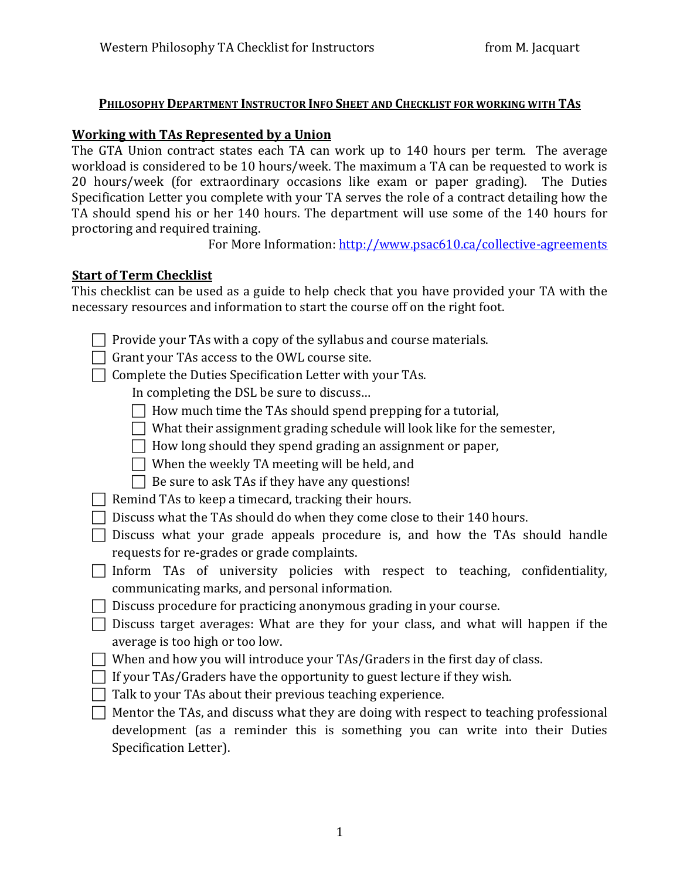# **PHILOSOPHY DEPARTMENT INSTRUCTOR INFO SHEET AND CHECKLIST FOR WORKING WITH TAS**

### **Working with TAs Represented by a Union**

The GTA Union contract states each TA can work up to 140 hours per term. The average workload is considered to be 10 hours/week. The maximum a TA can be requested to work is 20 hours/week (for extraordinary occasions like exam or paper grading). The Duties Specification Letter you complete with your TA serves the role of a contract detailing how the TA should spend his or her 140 hours. The department will use some of the 140 hours for proctoring and required training.

For More Information: http://www.psac610.ca/collective-agreements

### **Start of Term Checklist**

This checklist can be used as a guide to help check that you have provided your TA with the necessary resources and information to start the course off on the right foot.

- $\Box$  Provide your TAs with a copy of the syllabus and course materials.
- $\Box$  Grant your TAs access to the OWL course site.
- $\Box$  Complete the Duties Specification Letter with your TAs.

In completing the DSL be sure to discuss...

- $\Box$  How much time the TAs should spend prepping for a tutorial,
- $\Box$  What their assignment grading schedule will look like for the semester,
- $\Box$  How long should they spend grading an assignment or paper,
- $\Box$  When the weekly TA meeting will be held, and
- $\Box$  Be sure to ask TAs if they have any questions!
- $\Box$  Remind TAs to keep a timecard, tracking their hours.
- $\Box$  Discuss what the TAs should do when they come close to their 140 hours.
- $\Box$  Discuss what your grade appeals procedure is, and how the TAs should handle requests for re-grades or grade complaints.
- $\Box$  Inform TAs of university policies with respect to teaching, confidentiality, communicating marks, and personal information.
- $\Box$  Discuss procedure for practicing anonymous grading in your course.
- $\Box$  Discuss target averages: What are they for your class, and what will happen if the average is too high or too low.
- $\Box$  When and how you will introduce your TAs/Graders in the first day of class.
- $\Box$  If your TAs/Graders have the opportunity to guest lecture if they wish.
- $\Box$  Talk to your TAs about their previous teaching experience.
- $\Box$  Mentor the TAs, and discuss what they are doing with respect to teaching professional development (as a reminder this is something you can write into their Duties Specification Letter).